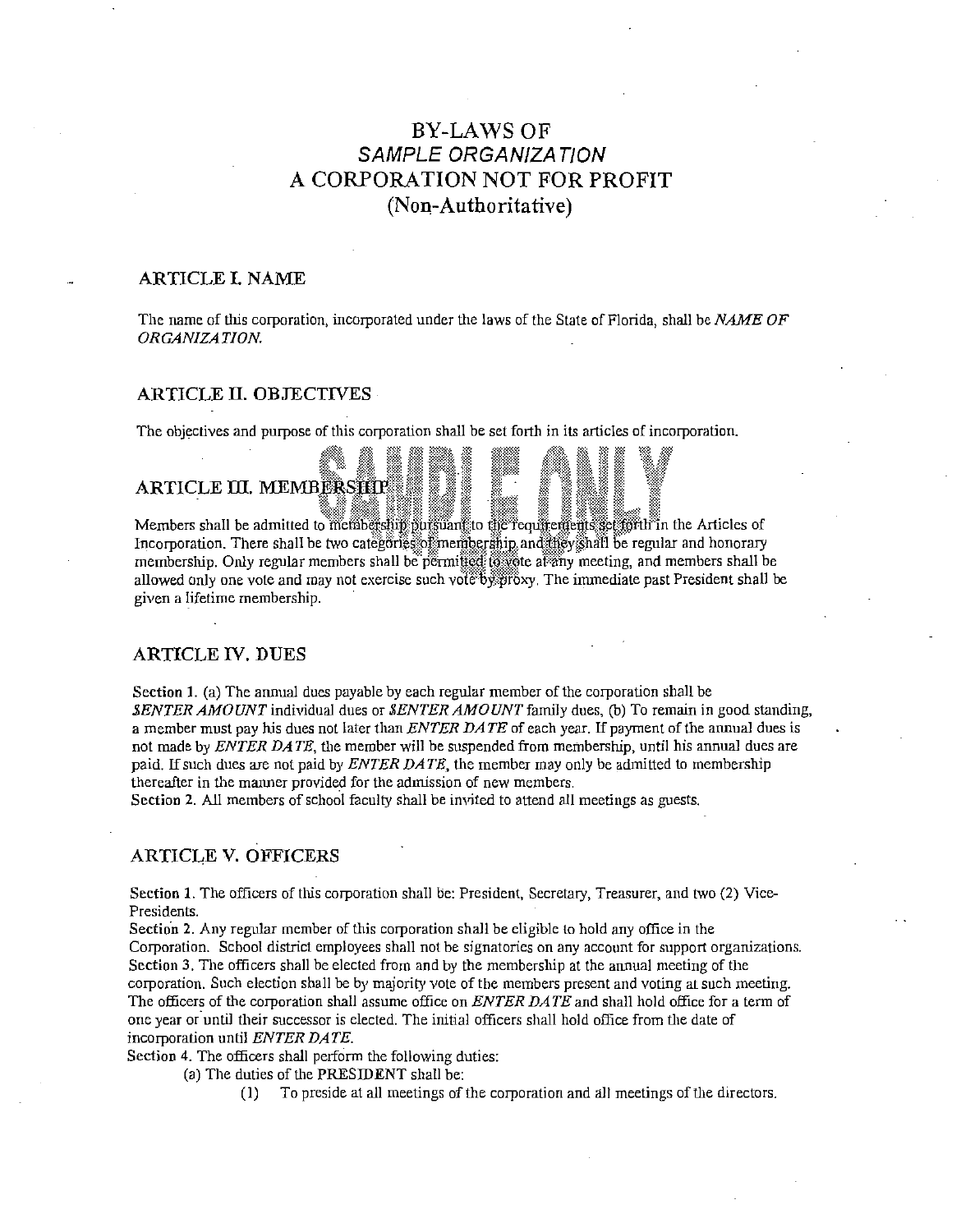# **BY-LAWS OF SAMPLE ORGANIZATION** A CORPORATION NOT FOR PROFIT (Non-Authoritative)

## ARTICLE I. NAME

The name of this corporation, incorporated under the laws of the State of Florida, shall be NAME OF ORGANIZATION.

## **ARTICLE II. OBJECTIVES**

The objectives and purpose of this corporation shall be set forth in its articles of incorporation.

## ARTICLE III. MEMBERSHIP

Members shall be admitted to membership pursuant to the requirements section in the Articles of Incorporation. There shall be two categories of membership and they shall be regular and honorary membership. Only regular members shall be permitted to vote at any meeting, and members shall be allowed only one vote and may not exercise such yote by grow. The immediate past President shall be given a lifetime membership.

## **ARTICLE IV. DUES**

Section 1. (a) The annual dues payable by each regular member of the corporation shall be SENTER AMOUNT individual dues or SENTER AMOUNT family dues, (b) To remain in good standing, a member must pay his dues not later than ENTER DATE of each year. If payment of the annual dues is not made by ENTER DATE, the member will be suspended from membership, until his annual dues are paid. If such dues are not paid by *ENTER DATE*, the member may only be admitted to membership thereafter in the manner provided for the admission of new members.

Section 2. All members of school faculty shall be invited to attend all meetings as guests.

## **ARTICLE V. OFFICERS**

Section 1. The officers of this corporation shall be: President, Secretary, Treasurer, and two (2) Vice-Presidents.

Section 2. Any regular member of this corporation shall be eligible to hold any office in the Corporation. School district employees shall not be signatories on any account for support organizations. Section 3. The officers shall be elected from and by the membership at the annual meeting of the corporation. Such election shall be by majority vote of the members present and voting at such meeting. The officers of the corporation shall assume office on ENTER DATE and shall hold office for a term of one year or until their successor is elected. The initial officers shall hold office from the date of incorporation until ENTER DATE.

Section 4. The officers shall perform the following duties:

(a) The duties of the PRESIDENT shall be:

To preside at all meetings of the corporation and all meetings of the directors.  $(1)$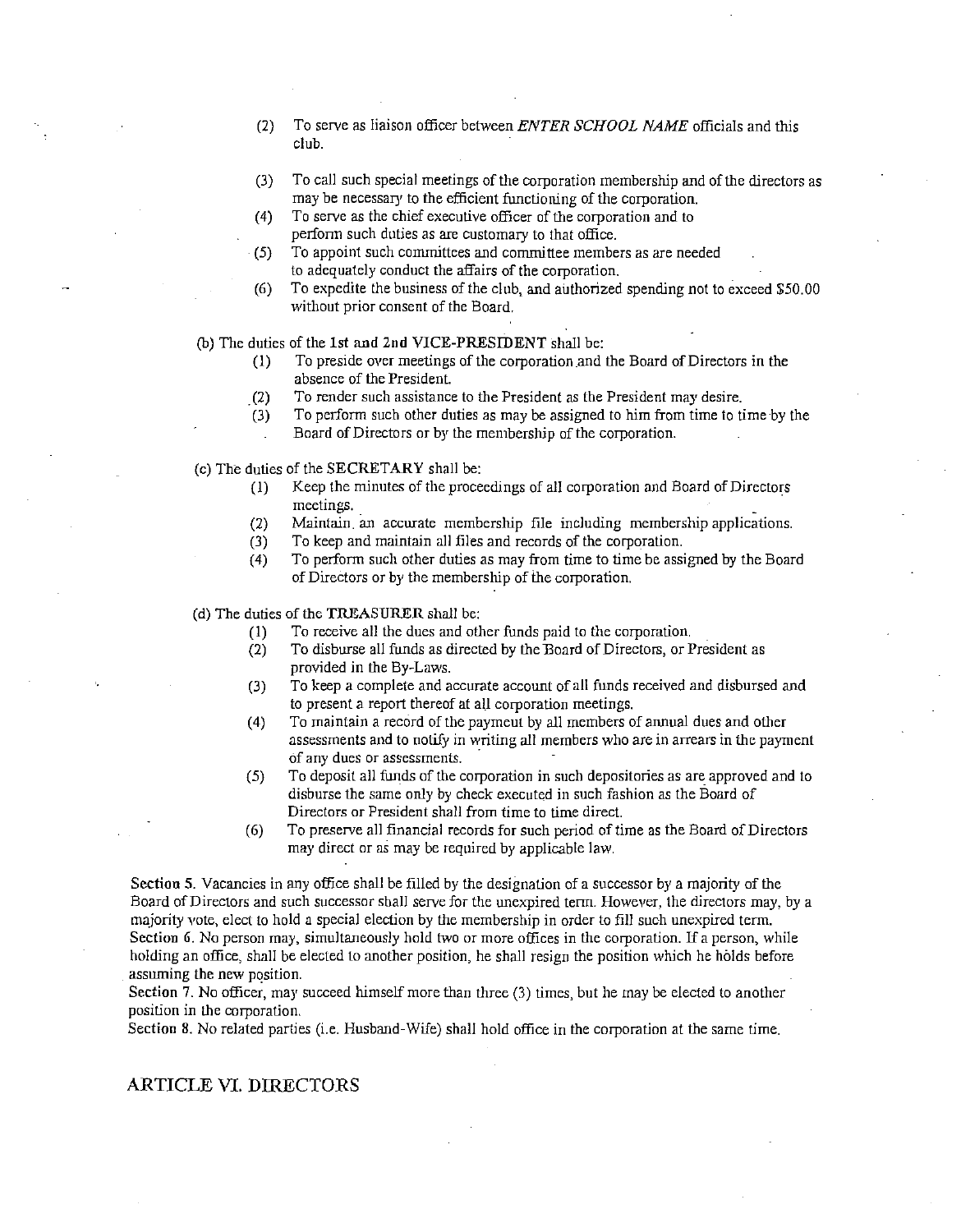- (2) To serve as liaison officer between *ENTER SCHOOL NAME* officials and tills club.
- (3) To call such special meetings of the corporation membershlp and of the directors as may be necessary to the efficient functioning of the corporation.
- (4) To serve as the chief executive officer of the corporation and to perform such duties as are customary to that office.
- (5) To appoint such committees and committee members as are needed to adequately conduct the affairs of the corporation.
- $(6)$  To expedite the business of the club, and authorized spending not to exceed \$50.00 **vvithout prior consent of the Board.**
- (b) The duties of the 1st and 2nd VICE-PRESIDENT shall be:
	- (1) To preside over meetings of the corporation and the Board of Directors in the absence of the President.
	- . (2) To render such assistance to the President as the President may desire.
	- $(3)$  To perform such other duties as may be assigned to him from time to time by the
	- Board of Directors or by the membership of the corporation.
- $(c)$  The duties of the SECRETARY shall be:
	- ( 1) Keep the minutes of the proceedings of all corporation and Board of Directors **meetings.** \_
	- (2) Maintain. an accurate membershlp file including membership applications.
	- (3) To keep and maintain all files and records of the corporation.
	- (4) To perform such other duties as may from time to time be assigned by the Board of Directors or by the membership of the corporation.

(d) The duties of the TREASURER shall be:

- (1) To receive all the dues and other funds paid to the corporation.
- (2) To disburse all funds as directed by the 13oard of Directors, or President as provided in the By-Laws.
- (3) To keep a complete and accurate account of all funds received and disbursed and to present a report thereof at all corporation meetings.
- ( 4) To maintain a record of the paymeut by all members of annual dues and other **assessments and to notify in writing all members who are in arrears in the payment bf any dues or assessments.** ·
- (5) To deposit all funds of the corporation in such depositories as are approved and to disburse the same *only* by check executed in such fashion as the Board of **Directors or President shall from time to time direct.**
- (6) To preserve all financial records for such period of time as the Board of Directors may direct or as may be required by applicable law.

Section 5. Vacancies in any office shall be filled by the designation of a successor by a majority of the Board of Directors and such successor shall serve for the unexpired term. However, the directors may, by a majority vote, elect to hold a special election by the membership in order to fill such unexpired term. **Section 6. Na person may, simultaneously hold two or more offices in the corporation. If a person, while**  holding an office, shall be elected to another position, he shall resign the position which he holds before assuming the new position.

Section 7. No officer, may succeed himself more than three  $(3)$  times, but he may be elected to another **position in the corporation.** 

Section 8. No related parties (i.e. Husband-Wife) shall hold office in the corporation at the same time.

#### ARTICLE VI. DIRECTORS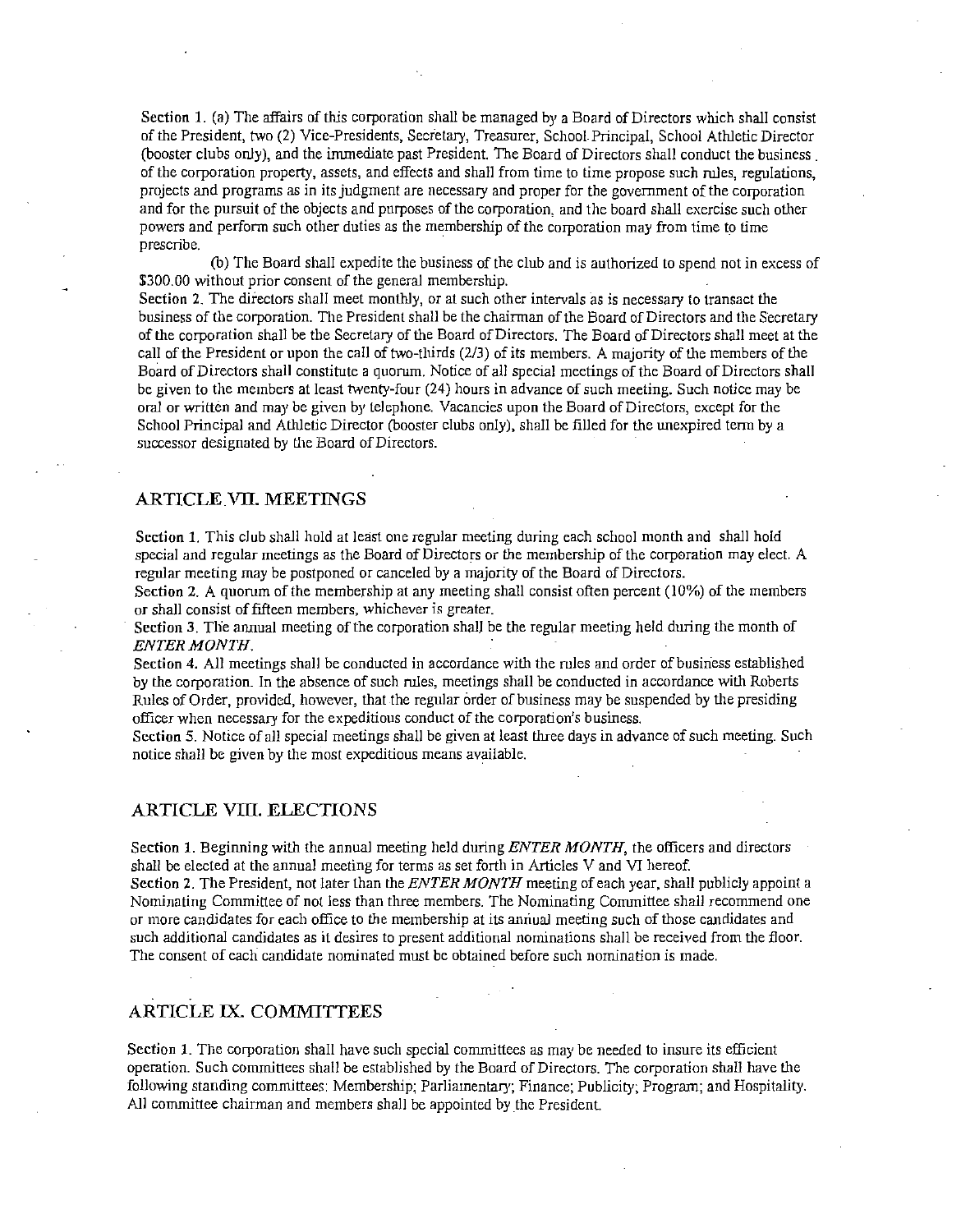Section 1. (a) The affairs of this corporation shall be managed by a Board of Directors which shall consist of the President, two (2) Vice-Presidents, Secretary, Treasurer, School Principal, School Athletic Director (booster clubs only), and the immediate past President. The Board of Directors shall conduct the business . of the corporation property, assets, and effects and shall from time to time propose such rules, regulations, projects and programs as in its judgment are necessary and proper for the government of the corporation and for the pursuit of the objects and purposes of the corporation, and the board shall exercise such other powers and perform such other duties as the membership of the corporation may from time to time prescribe.

(b) The Board shall expedite the business of the club and is authorized to spend not in excess of \$300.00 without prior consent of the general membership.

Section 2. The directors shall meet monthly, or at such other intervals as is necessary to transact the business of the corporation. The President shall be the chairman of the Board of Directors and the Secretary of the corporation shall be the Secretary of the Board of Directors. The Board of Directors shall meet at the call of the President or upon the call of two-thirds (2/3) of its members. A majority of the members of the Board of Directors shall constitute a quorum. Notice of all special meetings of the Board of Directors shall be given to the members at least twenty-four (24) hours in advance of such meeting. Such notice may be **oral or written and may be given by telephone. Vacancies upon the Board of Directors, except for the**  School Principal and Athletic Director (booster clubs only), shall be filled for the unexpired term by a successor designated by the Board of Directors.

## ARTICLE VIl. MEETlNGS

Section 1. This club shall hold at least one regular meeting during each school month and shall hold special and regular meetings as the Board of Directors or the membership of the corporation may elect. A regular meeting may be postponed or canceled by a majority of the Board of Directors.

Section 2. A quorum of the membership at any meeting shall consist often percent  $(10\%)$  of the members **or shall consist of fifteen members, whichever is greater.** 

Section 3. The annual meeting of the corporation shall be the regular meeting held during the month of *ENTER MONTH.* 

Section 4. All meetings shall be conducted in accordance with the rules and order of business established by the corporation. In the absence of such rules, meetings shall be conducted in accordance with Roberts Rules of Order, provided, however, that the regular order of business may be suspended by the presiding **officer when necessary for the expeditious conduct of the corporation's business.** 

Section 5. Notice of all special meetings shall be given at least three days in advance of such meeting. Such notice shall be given by the most expeditious means available.

#### ARTICLE VIII. ELECTIONS

Section 1. Beginning with the annual meeting held during *ENTER MONTH,* the officers and directors shall be elected at the annual meeting for terms as set forth in Articles V and VI hereof.

Section 2. The President, not later than the *ENTER MONTH* meeting of each year, shall publicly appoint a Nominating Committee of not less than three members. The Nominating Committee shall recommend one **or n1ore candidates for each office to the membership at its anriuaJ meeting such of those candidates and such additional candidates as il desires to present additional nominations shall be received from the floor. The consent of each candidate nominated must be obtained before such nomination is made.** 

# ARTICLE IX. COMMITTEES

**Section 1. The corporation shall have such special committees as may be needed to insure its efficient**  operation. Such committees shall be established by the Board of Directors. The corporation shall have the following standing committees: Membership; Parliamentary; Finance; Publicity; Program; and Hospitality. All committee chairman and members shall be appointed by the President.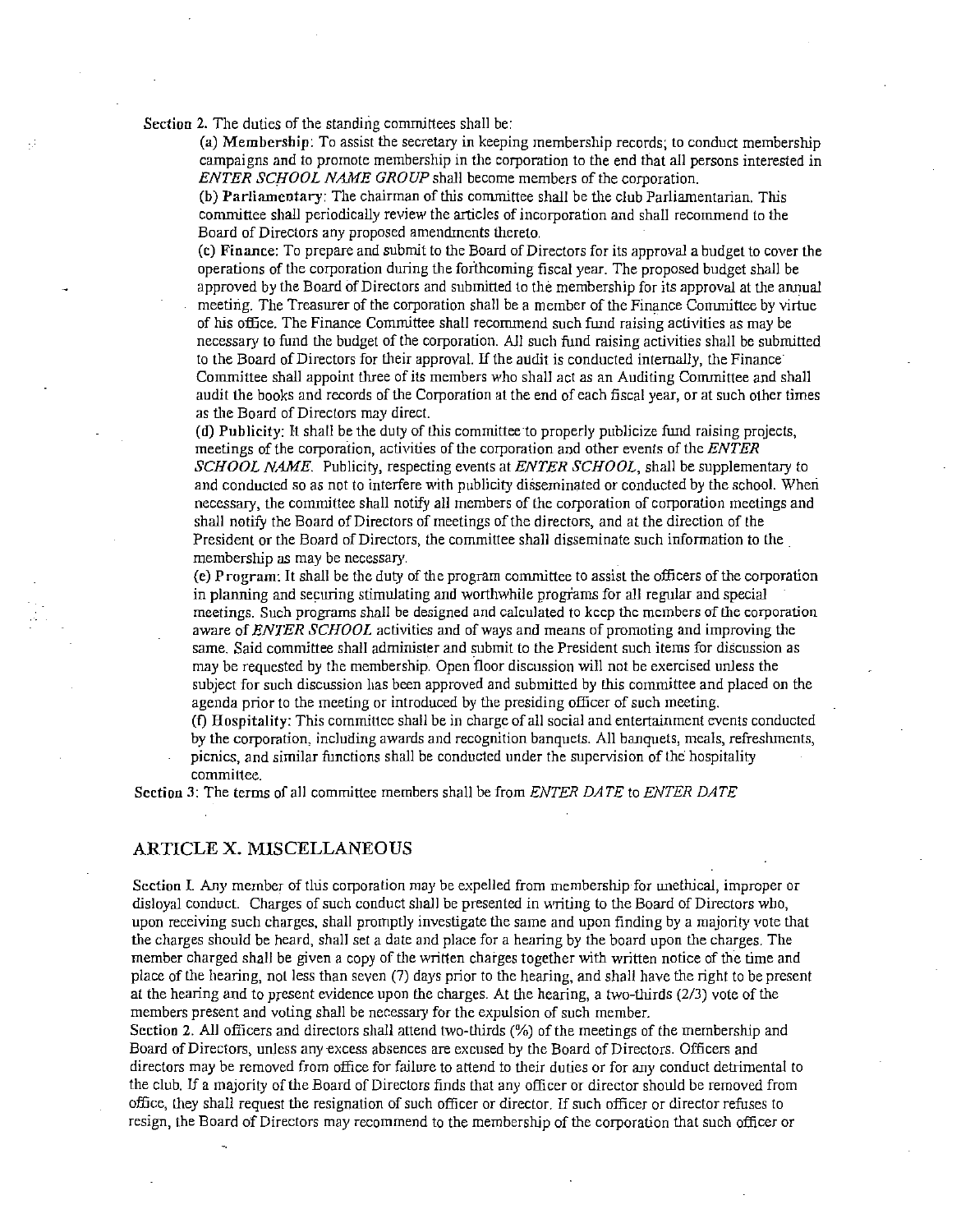Section 2. The duties of the standing committees shall be:

(a) Membership: To assist the secretary in keeping membership records; to conduct membership campaigns and to promote membership in the corporation to the end that all persons interested in *ENTER SCHOOL NAME GROUP* shall become members of the corporation.

(b) Parliamentary: The chairman of this committee shall be the club Parliamentarian. This committee shall periodically review the articles of incorporation and shall recommend to the Board of Directors any proposed amendments thereto.

(c) Finance: To prepare and submit to the Board of Directors for its approval a budget to cover the operations of the corporation during the forthcoming fiscal year. The proposed budget shall be approved by the Board of Directors and submitted to the membership for its approval at the annual meeting. The Treasurer of the corporation shall be a member of the Finance Committee by virtue of his office. The Finance Committee shall recommend such fund raising activities as may be necessary to fund the budget of the corporation. All such fund raising activities shall be submitted to the Board of Directors for their approval. If the audit is conducted internally, the Finance Committee shall appoint three of its members who shall act as an Auditing Committee and shall audit the books and records of the Corporation at the end of each fiscal year, or at such other times as the Board of Directors may direct.

(d) Publicity: It shall be the duty of this committee to properly publicize fund raising projects, meetings of the corporation, activities of the corporation and other events of the **ENTER** *SCHOOL NAME.* Publicity, respecting events at *ENTER SCHOOL,* shall be supplementary to and conducted so as not to interfere with publicity disseminated or conducted by the school. Wheri necessary, the committee shall notify all members of the corporation of corporation meetings and shall notify the Board of Directors of meetings of the directors, and at the direction of the President or the Board of Directors, the committee shall disseminate such information to the membership as may be necessary.

(e) Program: It shall be the duty of the program committee to assist the officers of the corporation in planning and securing stimulating and worthwhile progiams for all regular and special **meetings. Such programs shall be designed and calculated to keep the members of the corporation**  aware of *ENTER SCHOOL* activities and of ways and means of promoting and improving the same. Said committee shall administer and submit to the President such items for discussion as may be requested by the membership. Open floor discussion will not be exercised unless the subject for such discussion has been approved and submitted by this committee and placed on the agenda prior to the meeting or introduced by the presiding officer of such meeting.

(f) Hospitality: This committee shall be in charge ofall social and entertainment events conducted by the corporation, including awards and recognition banquets. All banquets, meals, refreshments, picnics, and similar functions shall be conducted under the supervision of the hospitality **committee.** 

Section 3: The terms of all committee members shall be from *ENTER DATE* to *ENTER DATE* 

#### ARTICLE X. MISCELLANEOUS

Section I. Any member of this corporation may be expelled from membership for unethical, improper or disloyal conduct. Charges of such conduct shall be presented in writing to the Board of Directors who, upon receiving such charges, shall promptly investigate the same and upon finding by a majority vote that the charges should be heard, shall set a date and place for a hearing by the board upon the charges. The member charged shall be given a copy of the written charges together with written notice of the time and place of the hearing, not less than seven (7) days prior to the hearing, and shall have the right to be present at the hearing and to present evidence upon the charges. At the hearing, a two-thirds (2/3) vote of the members present and voting shall be necessary for the expulsion of such member.

Section 2. All officers and directors shall attend two-thirds (%) of the meetings of the membership and Board of Directors, unless any excess absences are excused by the Board of Directors. Officers and directors may be removed from office for failure to attend to their duties or for any conduct detrimental to the club. If a majority of the Board of Directors finds that any officer or director should be removed from office, they shall request the resignation of such officer or director. If such officer or director refuses to resign, the Board of Directors may recommend to the membership of the corporation that such officer or